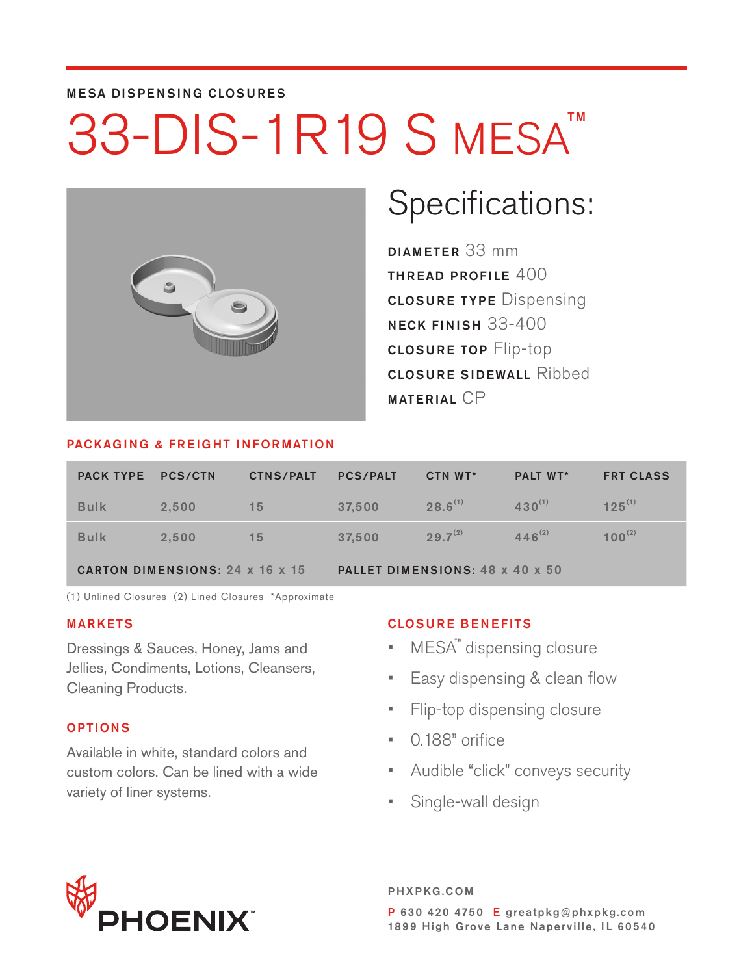#### MESA DISPENSING CLOSURES

# 33-DIS-1R19 S MESA<sup>TM</sup>



### Specifications:

DIAMETER 33 mm THREAD PROFILE  $400$ CLOSURE TYPE Dispensing NECK FINISH 33-400 CLOSURE TOP Flip-top CLOSURE SIDEWALL Ribbed MATERIAL CP

#### PACKAGING & FREIGHT INFORMATION

| <b>PACK TYPE PCS/CTN</b> |                                        | <b>CTNS/PALT</b> | <b>PCS/PALT</b>                 | CTN WT*      | <b>PALT WT*</b> | <b>FRT CLASS</b> |  |  |  |
|--------------------------|----------------------------------------|------------------|---------------------------------|--------------|-----------------|------------------|--|--|--|
| <b>Bulk</b>              | 2.500                                  | 15               | 37.500                          | $28.6^{(1)}$ | $430^{(1)}$     | $125^{(1)}$      |  |  |  |
| <b>Bulk</b>              | 2.500                                  | 15               | 37.500                          | $29.7^{(2)}$ | $446^{(2)}$     | $100^{(2)}$      |  |  |  |
|                          | <b>CARTON DIMENSIONS: 24 x 16 x 15</b> |                  | PALLET DIMENSIONS: 48 x 40 x 50 |              |                 |                  |  |  |  |

(1) Unlined Closures (2) Lined Closures \*Approximate

#### MARKETS

Dressings & Sauces, Honey, Jams and Jellies, Condiments, Lotions, Cleansers, Cleaning Products.

#### OPTIONS

Available in white, standard colors and custom colors. Can be lined with a wide variety of liner systems.

#### CLOSURE BENEFITS

- · MESA<sup>™</sup> dispensing closure
- Easy dispensing & clean flow
- Flip-top dispensing closure
- 0.188" orifice
- Audible "click" conveys security
- Single-wall design



PHXPKG.COM P 630 420 4750 E greatpkg@phxpkg.com 1899 High Grove Lane Naperville, IL 60540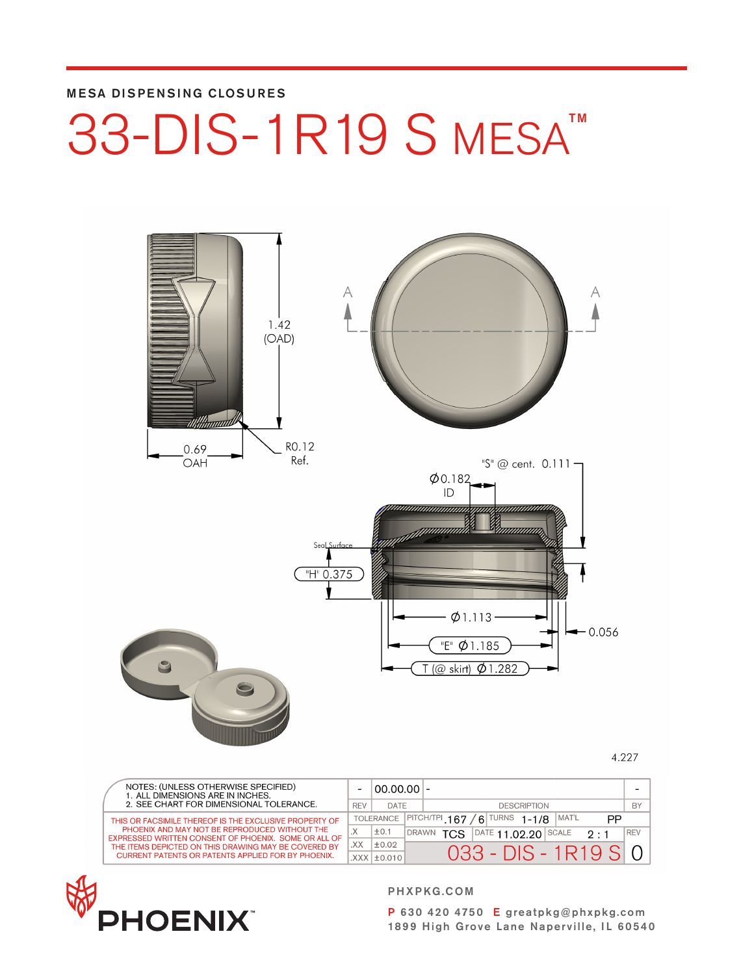#### MESA DISPENSING CLOSURES

## 33-DIS-1R19 S MESA<sup>TM</sup>



4.227

|  | NOTES: (UNLESS OTHERWISE SPECIFIED)<br>1. ALL DIMENSIONS ARE IN INCHES.                               |              | $00.00.00$ -      |                                            |      |    |                                         |  |                          |            |
|--|-------------------------------------------------------------------------------------------------------|--------------|-------------------|--------------------------------------------|------|----|-----------------------------------------|--|--------------------------|------------|
|  | 2. SEE CHART FOR DIMENSIONAL TOLERANCE.                                                               | <b>REV</b>   | DATE              |                                            |      |    | <b>DESCRIPTION</b>                      |  |                          | BY         |
|  | THIS OR FACSIMILE THEREOF IS THE EXCLUSIVE PROPERTY OF                                                |              | <b>TOLERANCE</b>  | PITCH/TPI 167<br>$/6$ TURNS 1-1/8<br>MAT'L |      | PP |                                         |  |                          |            |
|  | PHOENIX AND MAY NOT BE REPRODUCED WITHOUT THE<br>EXPRESSED WRITTEN CONSENT OF PHOENIX. SOME OR ALL OF | $\mathsf{X}$ | ±0.1              | <b>DRAWN</b>                               | TCS. |    | $\overline{\text{PATE}}$ 11.02.20 SCALE |  | $2 \cdot 1$              | <b>REV</b> |
|  | THE ITEMS DEPICTED ON THIS DRAWING MAY BE COVERED BY                                                  | XX.          | ±0.02             |                                            |      |    |                                         |  |                          |            |
|  | <b>CURRENT PATENTS OR PATENTS APPLIED FOR BY PHOENIX.</b>                                             |              | $XXX$ $\pm$ 0.010 |                                            |      |    |                                         |  | $0.33 - DIS - 1R19$ SI 0 |            |



PHXPKG.COM

P 630 420 4750 E greatpkg@phxpkg.com 1899 High Grove Lane Naperville, IL 60540